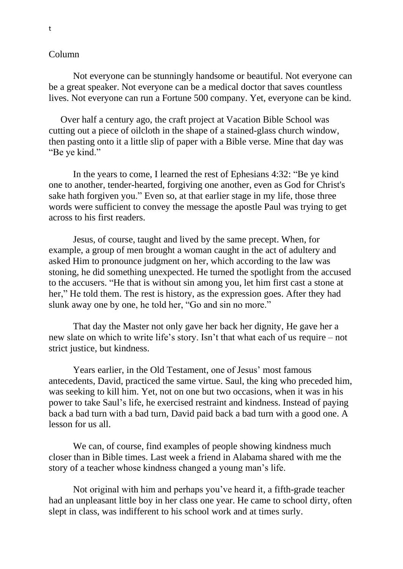## Column

Not everyone can be stunningly handsome or beautiful. Not everyone can be a great speaker. Not everyone can be a medical doctor that saves countless lives. Not everyone can run a Fortune 500 company. Yet, everyone can be kind.

 Over half a century ago, the craft project at Vacation Bible School was cutting out a piece of oilcloth in the shape of a stained-glass church window, then pasting onto it a little slip of paper with a Bible verse. Mine that day was "Be ye kind."

In the years to come, I learned the rest of Ephesians 4:32: "Be ye kind one to another, tender-hearted, forgiving one another, even as God for Christ's sake hath forgiven you." Even so, at that earlier stage in my life, those three words were sufficient to convey the message the apostle Paul was trying to get across to his first readers.

Jesus, of course, taught and lived by the same precept. When, for example, a group of men brought a woman caught in the act of adultery and asked Him to pronounce judgment on her, which according to the law was stoning, he did something unexpected. He turned the spotlight from the accused to the accusers. "He that is without sin among you, let him first cast a stone at her," He told them. The rest is history, as the expression goes. After they had slunk away one by one, he told her, "Go and sin no more."

That day the Master not only gave her back her dignity, He gave her a new slate on which to write life's story. Isn't that what each of us require – not strict justice, but kindness.

Years earlier, in the Old Testament, one of Jesus' most famous antecedents, David, practiced the same virtue. Saul, the king who preceded him, was seeking to kill him. Yet, not on one but two occasions, when it was in his power to take Saul's life, he exercised restraint and kindness. Instead of paying back a bad turn with a bad turn, David paid back a bad turn with a good one. A lesson for us all.

We can, of course, find examples of people showing kindness much closer than in Bible times. Last week a friend in Alabama shared with me the story of a teacher whose kindness changed a young man's life.

Not original with him and perhaps you've heard it, a fifth-grade teacher had an unpleasant little boy in her class one year. He came to school dirty, often slept in class, was indifferent to his school work and at times surly.